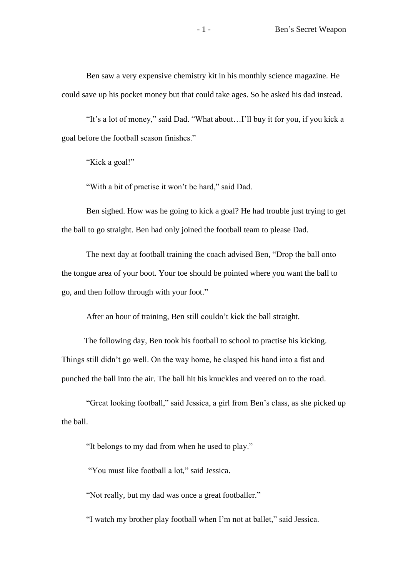Ben saw a very expensive chemistry kit in his monthly science magazine. He could save up his pocket money but that could take ages. So he asked his dad instead.

"It's a lot of money," said Dad. "What about…I'll buy it for you, if you kick a goal before the football season finishes."

"Kick a goal!"

"With a bit of practise it won't be hard," said Dad.

Ben sighed. How was he going to kick a goal? He had trouble just trying to get the ball to go straight. Ben had only joined the football team to please Dad.

The next day at football training the coach advised Ben, "Drop the ball onto the tongue area of your boot. Your toe should be pointed where you want the ball to go, and then follow through with your foot."

After an hour of training, Ben still couldn't kick the ball straight.

 The following day, Ben took his football to school to practise his kicking. Things still didn't go well. On the way home, he clasped his hand into a fist and punched the ball into the air. The ball hit his knuckles and veered on to the road.

"Great looking football," said Jessica, a girl from Ben's class, as she picked up the ball.

"It belongs to my dad from when he used to play."

"You must like football a lot," said Jessica.

"Not really, but my dad was once a great footballer."

"I watch my brother play football when I'm not at ballet," said Jessica.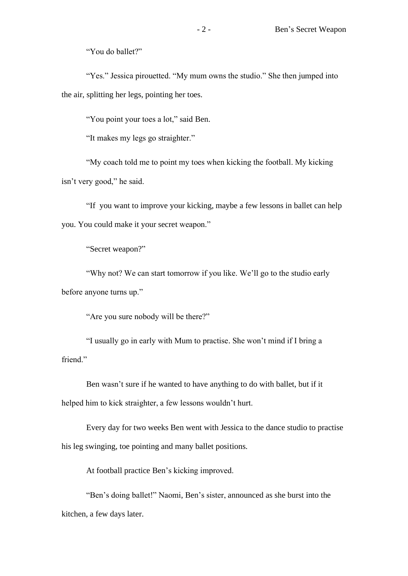"You do ballet?"

"Yes." Jessica pirouetted. "My mum owns the studio." She then jumped into the air, splitting her legs, pointing her toes.

"You point your toes a lot," said Ben.

"It makes my legs go straighter."

"My coach told me to point my toes when kicking the football. My kicking isn't very good," he said.

"If you want to improve your kicking, maybe a few lessons in ballet can help you. You could make it your secret weapon."

"Secret weapon?"

"Why not? We can start tomorrow if you like. We'll go to the studio early before anyone turns up."

"Are you sure nobody will be there?"

"I usually go in early with Mum to practise. She won't mind if I bring a friend."

Ben wasn't sure if he wanted to have anything to do with ballet, but if it helped him to kick straighter, a few lessons wouldn't hurt.

Every day for two weeks Ben went with Jessica to the dance studio to practise his leg swinging, toe pointing and many ballet positions.

At football practice Ben's kicking improved.

"Ben's doing ballet!" Naomi, Ben's sister, announced as she burst into the kitchen, a few days later.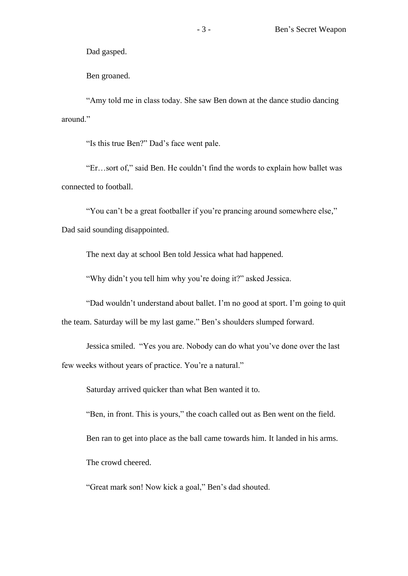Dad gasped.

Ben groaned.

"Amy told me in class today. She saw Ben down at the dance studio dancing around."

"Is this true Ben?" Dad's face went pale.

"Er…sort of," said Ben. He couldn't find the words to explain how ballet was connected to football.

"You can't be a great footballer if you're prancing around somewhere else," Dad said sounding disappointed.

The next day at school Ben told Jessica what had happened.

"Why didn't you tell him why you're doing it?" asked Jessica.

"Dad wouldn't understand about ballet. I'm no good at sport. I'm going to quit the team. Saturday will be my last game." Ben's shoulders slumped forward.

Jessica smiled. "Yes you are. Nobody can do what you've done over the last few weeks without years of practice. You're a natural."

Saturday arrived quicker than what Ben wanted it to.

"Ben, in front. This is yours," the coach called out as Ben went on the field. Ben ran to get into place as the ball came towards him. It landed in his arms. The crowd cheered.

"Great mark son! Now kick a goal," Ben's dad shouted.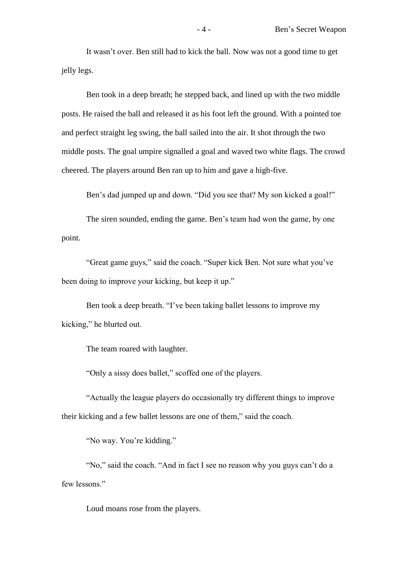It wasn't over. Ben still had to kick the ball. Now was not a good time to get jelly legs.

Ben took in a deep breath; he stepped back, and lined up with the two middle posts. He raised the ball and released it as his foot left the ground. With a pointed toe and perfect straight leg swing, the ball sailed into the air. It shot through the two middle posts. The goal umpire signalled a goal and waved two white flags. The crowd cheered. The players around Ben ran up to him and gave a high-five.

Ben's dad jumped up and down. "Did you see that? My son kicked a goal!"

The siren sounded, ending the game. Ben's team had won the game, by one point.

"Great game guys," said the coach. "Super kick Ben. Not sure what you've been doing to improve your kicking, but keep it up."

Ben took a deep breath. "I've been taking ballet lessons to improve my kicking," he blurted out.

The team roared with laughter.

"Only a sissy does ballet," scoffed one of the players.

"Actually the league players do occasionally try different things to improve their kicking and a few ballet lessons are one of them," said the coach.

"No way. You're kidding."

"No," said the coach. "And in fact I see no reason why you guys can't do a few lessons."

Loud moans rose from the players.